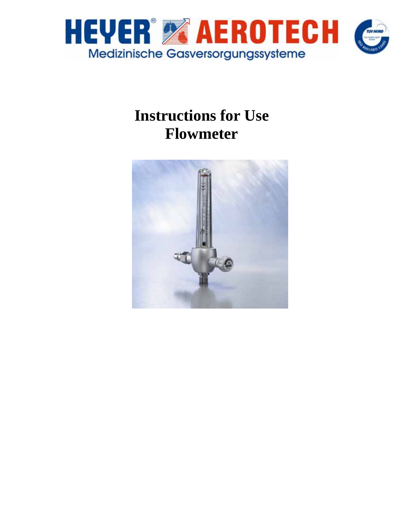

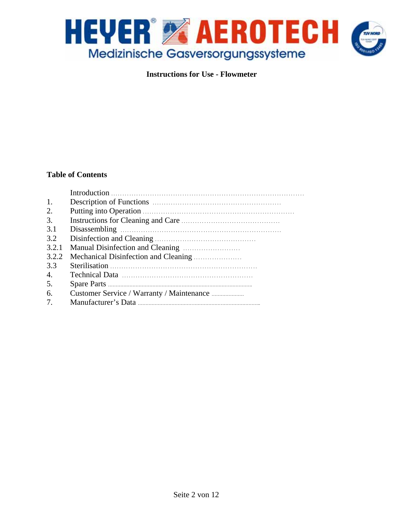

# **Table of Contents**

| 2.             |  |
|----------------|--|
| 3.             |  |
| 3.1            |  |
| 3.2            |  |
| 3.2.1          |  |
| 3.2.2          |  |
| 3.3            |  |
| $\mathbf{4}$ . |  |
| 5.             |  |
| 6.             |  |
|                |  |
|                |  |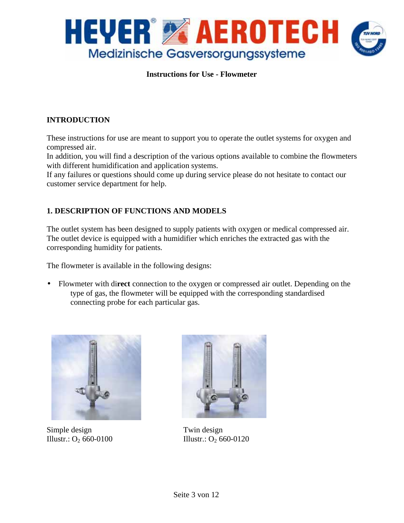

# **INTRODUCTION**

These instructions for use are meant to support you to operate the outlet systems for oxygen and compressed air.

In addition, you will find a description of the various options available to combine the flowmeters with different humidification and application systems.

If any failures or questions should come up during service please do not hesitate to contact our customer service department for help.

# **1. DESCRIPTION OF FUNCTIONS AND MODELS**

The outlet system has been designed to supply patients with oxygen or medical compressed air. The outlet device is equipped with a humidifier which enriches the extracted gas with the corresponding humidity for patients.

The flowmeter is available in the following designs:

• Flowmeter with di**rect** connection to the oxygen or compressed air outlet. Depending on the type of gas, the flowmeter will be equipped with the corresponding standardised connecting probe for each particular gas.



Simple design Twin design



Illustr.:  $O_2$  660-0100 Illustr.:  $O_2$  660-0120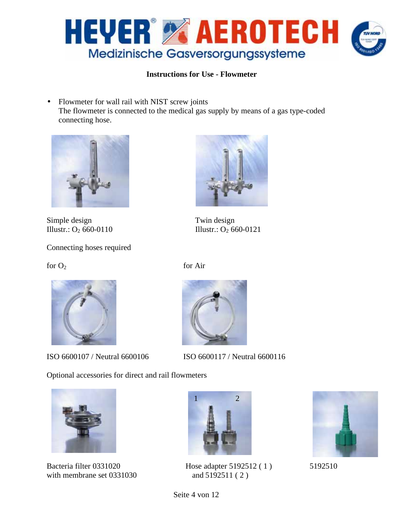

• Flowmeter for wall rail with NIST screw joints The flowmeter is connected to the medical gas supply by means of a gas type-coded connecting hose.



Simple design Twin design Illustr.:  $O_2$  660-0110 Illustr.:  $O_2$  660-0121

Connecting hoses required

 $f$ or  $O_2$  for Air



ISO 6600107 / Neutral 6600106 ISO 6600117 / Neutral 6600116

Optional accessories for direct and rail flowmeters



with membrane set 0331030 and 5192511 (2)









Bacteria filter 0331020 Hose adapter 5192512 (1) 5192510



Seite 4 von 12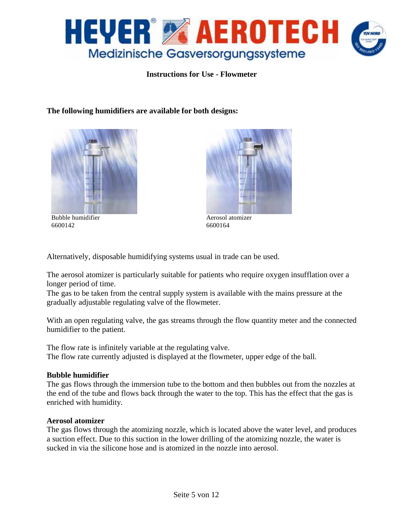

**The following humidifiers are available for both designs:** 



Bubble humidifier 6600142



Aerosol atomizer 6600164

Alternatively, disposable humidifying systems usual in trade can be used.

The aerosol atomizer is particularly suitable for patients who require oxygen insufflation over a longer period of time.

The gas to be taken from the central supply system is available with the mains pressure at the gradually adjustable regulating valve of the flowmeter.

With an open regulating valve, the gas streams through the flow quantity meter and the connected humidifier to the patient.

The flow rate is infinitely variable at the regulating valve. The flow rate currently adjusted is displayed at the flowmeter, upper edge of the ball.

#### **Bubble humidifier**

The gas flows through the immersion tube to the bottom and then bubbles out from the nozzles at the end of the tube and flows back through the water to the top. This has the effect that the gas is enriched with humidity.

#### **Aerosol atomizer**

The gas flows through the atomizing nozzle, which is located above the water level, and produces a suction effect. Due to this suction in the lower drilling of the atomizing nozzle, the water is sucked in via the silicone hose and is atomized in the nozzle into aerosol.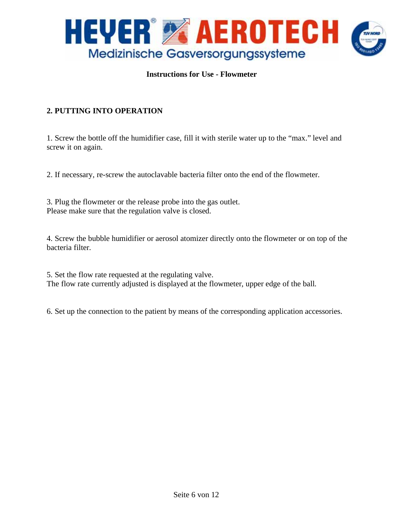

# **2. PUTTING INTO OPERATION**

1. Screw the bottle off the humidifier case, fill it with sterile water up to the "max." level and screw it on again.

2. If necessary, re-screw the autoclavable bacteria filter onto the end of the flowmeter.

3. Plug the flowmeter or the release probe into the gas outlet. Please make sure that the regulation valve is closed.

4. Screw the bubble humidifier or aerosol atomizer directly onto the flowmeter or on top of the bacteria filter.

5. Set the flow rate requested at the regulating valve. The flow rate currently adjusted is displayed at the flowmeter, upper edge of the ball.

6. Set up the connection to the patient by means of the corresponding application accessories.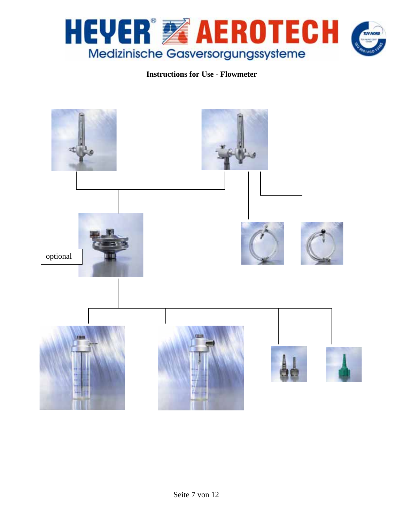

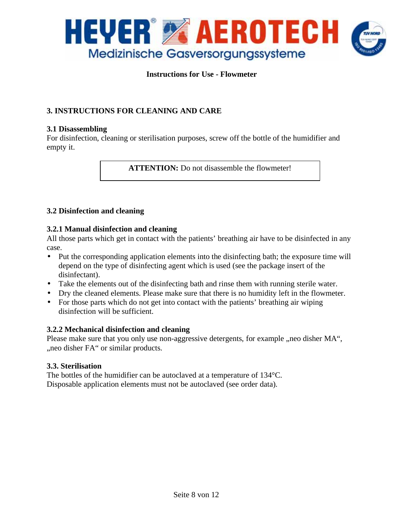

# **3. INSTRUCTIONS FOR CLEANING AND CARE**

#### **3.1 Disassembling**

For disinfection, cleaning or sterilisation purposes, screw off the bottle of the humidifier and empty it.

**ATTENTION:** Do not disassemble the flowmeter!

#### **3.2 Disinfection and cleaning**

#### **3.2.1 Manual disinfection and cleaning**

All those parts which get in contact with the patients' breathing air have to be disinfected in any case.

- Put the corresponding application elements into the disinfecting bath; the exposure time will depend on the type of disinfecting agent which is used (see the package insert of the disinfectant).
- Take the elements out of the disinfecting bath and rinse them with running sterile water.
- Dry the cleaned elements. Please make sure that there is no humidity left in the flowmeter.
- For those parts which do not get into contact with the patients' breathing air wiping disinfection will be sufficient.

#### **3.2.2 Mechanical disinfection and cleaning**

Please make sure that you only use non-aggressive detergents, for example , neo disher MA", , neo disher FA" or similar products.

#### **3.3. Sterilisation**

The bottles of the humidifier can be autoclaved at a temperature of 134°C. Disposable application elements must not be autoclaved (see order data).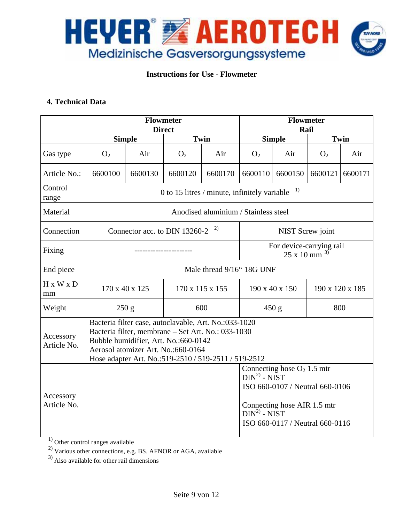

#### **4. Technical Data**

|                                                                                                                                                                                                                                                                               | <b>Flowmeter</b><br><b>Direct</b>                  |               |                 |         |                                              | <b>Flowmeter</b><br>Rail                                                                                                           |                 |         |  |
|-------------------------------------------------------------------------------------------------------------------------------------------------------------------------------------------------------------------------------------------------------------------------------|----------------------------------------------------|---------------|-----------------|---------|----------------------------------------------|------------------------------------------------------------------------------------------------------------------------------------|-----------------|---------|--|
|                                                                                                                                                                                                                                                                               |                                                    | <b>Simple</b> | Twin            |         | <b>Simple</b>                                |                                                                                                                                    | Twin            |         |  |
| Gas type                                                                                                                                                                                                                                                                      | O <sub>2</sub>                                     | Air           | O <sub>2</sub>  | Air     | O <sub>2</sub>                               | Air                                                                                                                                | O <sub>2</sub>  | Air     |  |
| Article No.:                                                                                                                                                                                                                                                                  | 6600100                                            | 6600130       | 6600120         | 6600170 | 6600110                                      | 6600150                                                                                                                            | 6600121         | 6600171 |  |
| Control<br>range                                                                                                                                                                                                                                                              | 1)<br>0 to 15 litres / minute, infinitely variable |               |                 |         |                                              |                                                                                                                                    |                 |         |  |
| Material                                                                                                                                                                                                                                                                      | Anodised aluminium / Stainless steel               |               |                 |         |                                              |                                                                                                                                    |                 |         |  |
| Connection                                                                                                                                                                                                                                                                    | 2)<br>Connector acc. to DIN 13260-2                |               |                 |         | NIST Screw joint                             |                                                                                                                                    |                 |         |  |
| Fixing                                                                                                                                                                                                                                                                        |                                                    |               |                 |         | For device-carrying rail<br>3)<br>25 x 10 mm |                                                                                                                                    |                 |         |  |
| End piece                                                                                                                                                                                                                                                                     | Male thread 9/16" 18G UNF                          |               |                 |         |                                              |                                                                                                                                    |                 |         |  |
| H x W x D<br>mm                                                                                                                                                                                                                                                               | 170 x 40 x 125                                     |               | 170 x 115 x 155 |         |                                              | 190 x 40 x 150                                                                                                                     | 190 x 120 x 185 |         |  |
| Weight                                                                                                                                                                                                                                                                        | 250 g                                              |               | 600             |         | 450 g                                        |                                                                                                                                    | 800             |         |  |
| Bacteria filter case, autoclavable, Art. No.:033-1020<br>Bacteria filter, membrane - Set Art. No.: 033-1030<br>Accessory<br>Bubble humidifier, Art. No.:660-0142<br>Article No.<br>Aerosol atomizer Art. No.:660-0164<br>Hose adapter Art. No.:519-2510 / 519-2511 / 519-2512 |                                                    |               |                 |         |                                              |                                                                                                                                    |                 |         |  |
| Accessory<br>Article No.                                                                                                                                                                                                                                                      |                                                    |               |                 |         | $DIN2$ - NIST<br>$DIN2 - NIST$               | Connecting hose $O_2$ 1.5 mtr<br>ISO 660-0107 / Neutral 660-0106<br>Connecting hose AIR 1.5 mtr<br>ISO 660-0117 / Neutral 660-0116 |                 |         |  |

<sup>1)</sup> Other control ranges available

 $^{2)}$  Various other connections, e.g. BS, AFNOR or AGA, available

 $^{3)}$  Also available for other rail dimensions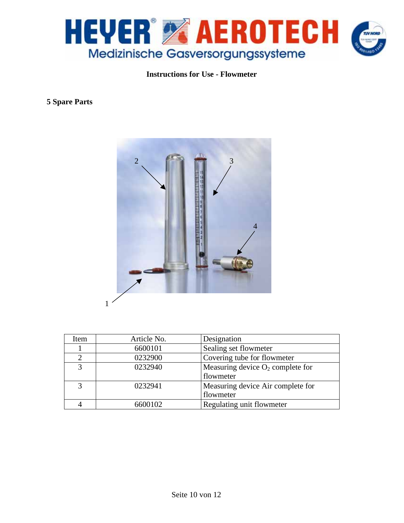

# **5 Spare Parts**



| Item           | Article No. | Designation                         |
|----------------|-------------|-------------------------------------|
|                | 6600101     | Sealing set flowmeter               |
| $\overline{2}$ | 0232900     | Covering tube for flowmeter         |
| 3              | 0232940     | Measuring device $O_2$ complete for |
|                |             | flowmeter                           |
| 3              | 0232941     | Measuring device Air complete for   |
|                |             | flowmeter                           |
|                | 6600102     | Regulating unit flowmeter           |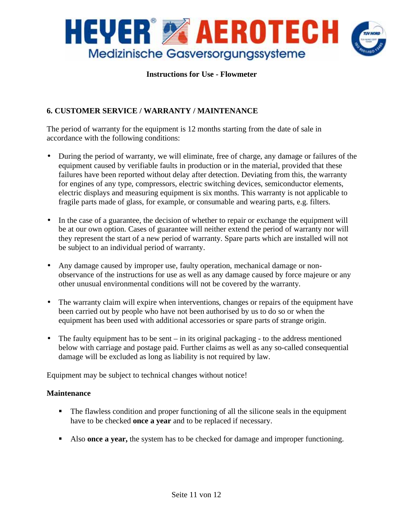

# **6. CUSTOMER SERVICE / WARRANTY / MAINTENANCE**

The period of warranty for the equipment is 12 months starting from the date of sale in accordance with the following conditions:

- During the period of warranty, we will eliminate, free of charge, any damage or failures of the equipment caused by verifiable faults in production or in the material, provided that these failures have been reported without delay after detection. Deviating from this, the warranty for engines of any type, compressors, electric switching devices, semiconductor elements, electric displays and measuring equipment is six months. This warranty is not applicable to fragile parts made of glass, for example, or consumable and wearing parts, e.g. filters.
- In the case of a guarantee, the decision of whether to repair or exchange the equipment will be at our own option. Cases of guarantee will neither extend the period of warranty nor will they represent the start of a new period of warranty. Spare parts which are installed will not be subject to an individual period of warranty.
- Any damage caused by improper use, faulty operation, mechanical damage or nonobservance of the instructions for use as well as any damage caused by force majeure or any other unusual environmental conditions will not be covered by the warranty.
- The warranty claim will expire when interventions, changes or repairs of the equipment have been carried out by people who have not been authorised by us to do so or when the equipment has been used with additional accessories or spare parts of strange origin.
- The faulty equipment has to be sent in its original packaging to the address mentioned below with carriage and postage paid. Further claims as well as any so-called consequential damage will be excluded as long as liability is not required by law.

Equipment may be subject to technical changes without notice!

#### **Maintenance**

- The flawless condition and proper functioning of all the silicone seals in the equipment have to be checked **once a year** and to be replaced if necessary.
- Also **once a year,** the system has to be checked for damage and improper functioning.